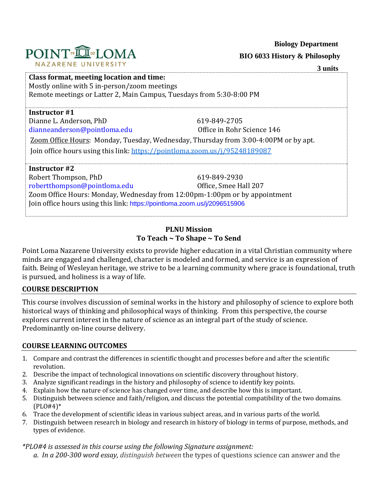

 **BIO 6033 History & Philosophy**

| POINT <sup>®</sup> IN® <sub>2</sub> LOMA |
|------------------------------------------|
| NAZARENE UNIVERSITY                      |

# **3 units Class format, meeting location and time:** Mostly online with 5 in-person/zoom meetings Remote meetings or Latter 2, Main Campus, Tuesdays from 5:30-8:00 PM **Instructor #1** Dianne L. Anderson, PhD 619-849-2705 [dianneanderson@pointloma.edu](mailto:dianneanderson@pointloma.edu) Office in Rohr Science 146 Zoom Office Hours: Monday, Tuesday, Wednesday, Thursday from 3:00-4:00PM or by apt. Join office hours using this link[: https://pointloma.zoom.us/j/95248189087](https://pointloma.zoom.us/j/95248189087) **Instructor #2** Robert Thompson, PhD 619-849-2930 [robertthompson@pointloma.edu](mailto:robertthompson@pointloma.edu) Office, Smee Hall 207 Zoom Office Hours: Monday, Wednesday from 12:00pm-1:00pm or by appointment Join office hours using this link: <https://pointloma.zoom.us/j/2096515906>

## **PLNU Mission To Teach ~ To Shape ~ To Send**

Point Loma Nazarene University exists to provide higher education in a vital Christian community where minds are engaged and challenged, character is modeled and formed, and service is an expression of faith. Being of Wesleyan heritage, we strive to be a learning community where grace is foundational, truth is pursued, and holiness is a way of life.

## **COURSE DESCRIPTION**

This course involves discussion of seminal works in the history and philosophy of science to explore both historical ways of thinking and philosophical ways of thinking. From this perspective, the course explores current interest in the nature of science as an integral part of the study of science. Predominantly on-line course delivery.

## **COURSE LEARNING OUTCOMES**

- 1. Compare and contrast the differences in scientific thought and processes before and after the scientific revolution.
- 2. Describe the impact of technological innovations on scientific discovery throughout history.
- 3. Analyze significant readings in the history and philosophy of science to identify key points.
- 4. Explain how the nature of science has changed over time, and describe how this is important.
- 5. Distinguish between science and faith/religion, and discuss the potential compatibility of the two domains. (PLO#4)\*
- 6. Trace the development of scientific ideas in various subject areas, and in various parts of the world.
- 7. Distinguish between research in biology and research in history of biology in terms of purpose, methods, and types of evidence.

*\*PLO#4 is assessed in this course using the following Signature assignment:* 

*a. In a 200-300 word essay, distinguish between* the types of questions science can answer and the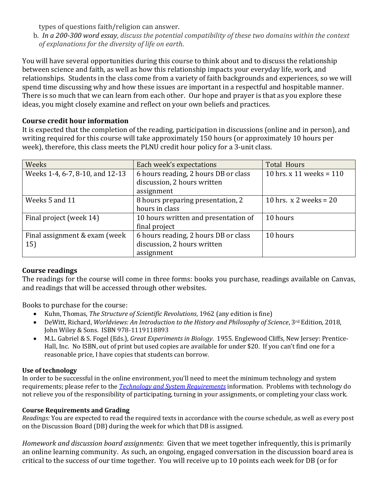types of questions faith/religion can answer.

b. *In a 200-300 word essay, discuss the potential compatibility of these two domains within the context of explanations for the diversity of life on earth.*

You will have several opportunities during this course to think about and to discuss the relationship between science and faith, as well as how this relationship impacts your everyday life, work, and relationships. Students in the class come from a variety of faith backgrounds and experiences, so we will spend time discussing why and how these issues are important in a respectful and hospitable manner. There is so much that we can learn from each other. Our hope and prayer is that as you explore these ideas, you might closely examine and reflect on your own beliefs and practices.

## **Course credit hour information**

It is expected that the completion of the reading, participation in discussions (online and in person), and writing required for this course will take approximately 150 hours (or approximately 10 hours per week), therefore, this class meets the PLNU credit hour policy for a 3-unit class.

| Weeks                           | Each week's expectations             | <b>Total Hours</b>         |
|---------------------------------|--------------------------------------|----------------------------|
| Weeks 1-4, 6-7, 8-10, and 12-13 | 6 hours reading, 2 hours DB or class | 10 hrs. x 11 weeks = $110$ |
|                                 | discussion, 2 hours written          |                            |
|                                 | assignment                           |                            |
| Weeks 5 and 11                  | 8 hours preparing presentation, 2    | 10 hrs. $x$ 2 weeks = 20   |
|                                 | hours in class                       |                            |
| Final project (week 14)         | 10 hours written and presentation of | 10 hours                   |
|                                 | final project                        |                            |
| Final assignment & exam (week   | 6 hours reading, 2 hours DB or class | 10 hours                   |
| 15)                             | discussion, 2 hours written          |                            |
|                                 | assignment                           |                            |

## **Course readings**

The readings for the course will come in three forms: books you purchase, readings available on Canvas, and readings that will be accessed through other websites.

Books to purchase for the course:

- Kuhn, Thomas, *The Structure of Scientific Revolutions*, 1962 (any edition is fine)
- DeWitt, Richard, *Worldviews: An Introduction to the History and Philosophy of Science*, 3rd Edition, 2018, John Wiley & Sons. ISBN 978-1119118893
- M.L. Gabriel & S. Fogel (Eds.), *Great Experiments in Biology*. 1955. Englewood Cliffs, New Jersey: Prentice-Hall, Inc. No ISBN, out of print but used copies are available for under \$20. If you can't find one for a reasonable price, I have copies that students can borrow.

## **Use of technology**

In order to be successful in the online environment, you'll need to meet the minimum technology and system requirements; please refer to the *[Technology and System Requirements](file://///ptloma.edu/courses/46859/pages/technology-and-system-requirements)* information. Problems with technology do not relieve you of the responsibility of participating, turning in your assignments, or completing your class work.

## **Course Requirements and Grading**

*Readings:* You are expected to read the required texts in accordance with the course schedule, as well as every post on the Discussion Board (DB) during the week for which that DB is assigned.

*Homework and discussion board assignments*: Given that we meet together infrequently, this is primarily an online learning community. As such, an ongoing, engaged conversation in the discussion board area is critical to the success of our time together. You will receive up to 10 points each week for DB (or for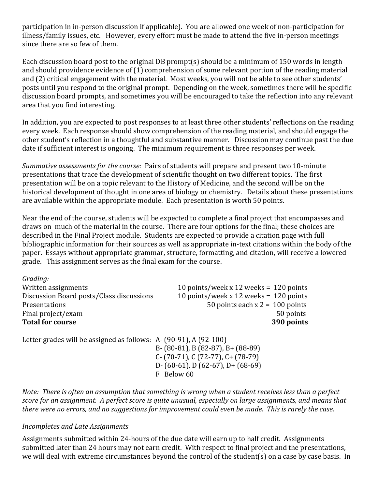participation in in-person discussion if applicable). You are allowed one week of non-participation for illness/family issues, etc. However, every effort must be made to attend the five in-person meetings since there are so few of them.

Each discussion board post to the original DB prompt(s) should be a minimum of 150 words in length and should providence evidence of (1) comprehension of some relevant portion of the reading material and (2) critical engagement with the material. Most weeks, you will not be able to see other students' posts until you respond to the original prompt. Depending on the week, sometimes there will be specific discussion board prompts, and sometimes you will be encouraged to take the reflection into any relevant area that you find interesting.

In addition, you are expected to post responses to at least three other students' reflections on the reading every week. Each response should show comprehension of the reading material, and should engage the other student's reflection in a thoughtful and substantive manner. Discussion may continue past the due date if sufficient interest is ongoing. The minimum requirement is three responses per week.

*Summative assessments for the course:* Pairs of students will prepare and present two 10-minute presentations that trace the development of scientific thought on two different topics. The first presentation will be on a topic relevant to the History of Medicine, and the second will be on the historical development of thought in one area of biology or chemistry. Details about these presentations are available within the appropriate module. Each presentation is worth 50 points.

Near the end of the course, students will be expected to complete a final project that encompasses and draws on much of the material in the course. There are four options for the final; these choices are described in the Final Project module. Students are expected to provide a citation page with full bibliographic information for their sources as well as appropriate in-text citations within the body of the paper. Essays without appropriate grammar, structure, formatting, and citation, will receive a lowered grade. This assignment serves as the final exam for the course.

*Grading:* Written assignments 10 points/week x 12 weeks = 120 points Discussion Board posts/Class discussions 10 points/week x 12 weeks = 120 points Presentations 50 points each x 2 = 100 points Final project/exam 50 points **Total for course 390 points** 

Letter grades will be assigned as follows: A- (90-91), A (92-100)

B- (80-81), B (82-87), B+ (88-89) C- (70-71), C (72-77), C+ (78-79) D- (60-61), D (62-67), D+ (68-69) F Below 60

*Note: There is often an assumption that something is wrong when a student receives less than a perfect score for an assignment. A perfect score is quite unusual, especially on large assignments, and means that there were no errors, and no suggestions for improvement could even be made. This is rarely the case.*

## *Incompletes and Late Assignments*

Assignments submitted within 24-hours of the due date will earn up to half credit. Assignments submitted later than 24 hours may not earn credit.With respect to final project and the presentations, we will deal with extreme circumstances beyond the control of the student(s) on a case by case basis. In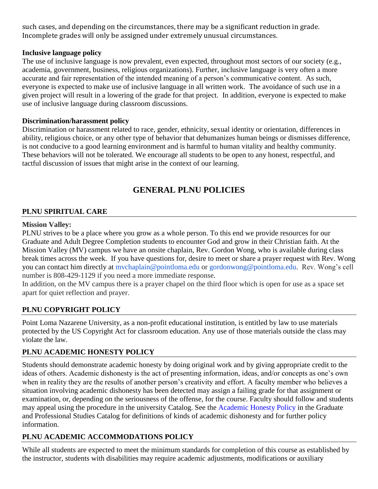such cases, and depending on the circumstances, there may be a significant reduction in grade. Incomplete grades will only be assigned under extremely unusual circumstances.

### **Inclusive language policy**

The use of inclusive language is now prevalent, even expected, throughout most sectors of our society (e.g., academia, government, business, religious organizations). Further, inclusive language is very often a more accurate and fair representation of the intended meaning of a person's communicative content. As such, everyone is expected to make use of inclusive language in all written work. The avoidance of such use in a given project will result in a lowering of the grade for that project. In addition, everyone is expected to make use of inclusive language during classroom discussions.

### **Discrimination/harassment policy**

Discrimination or harassment related to race, gender, ethnicity, sexual identity or orientation, differences in ability, religious choice, or any other type of behavior that dehumanizes human beings or dismisses difference, is not conducive to a good learning environment and is harmful to human vitality and healthy community. These behaviors will not be tolerated. We encourage all students to be open to any honest, respectful, and tactful discussion of issues that might arise in the context of our learning.

# **GENERAL PLNU POLICIES**

### **PLNU SPIRITUAL CARE**

#### **Mission Valley:**

PLNU strives to be a place where you grow as a whole person. To this end we provide resources for our Graduate and Adult Degree Completion students to encounter God and grow in their Christian faith. At the Mission Valley (MV) campus we have an onsite chaplain, Rev. Gordon Wong, who is available during class break times across the week. If you have questions for, desire to meet or share a prayer request with Rev. Wong you can contact him directly at [mvchaplain@pointloma.edu](mailto:mvchaplain@pointloma.edu) or [gordonwong@pointloma.edu.](mailto:gordonwong@pointloma.edu) Rev. Wong's cell number is 808-429-1129 if you need a more immediate response.

In addition, on the MV campus there is a prayer chapel on the third floor which is open for use as a space set apart for quiet reflection and prayer.

## **PLNU COPYRIGHT POLICY**

Point Loma Nazarene University, as a non-profit educational institution, is entitled by law to use materials protected by the US Copyright Act for classroom education. Any use of those materials outside the class may violate the law.

## **PLNU ACADEMIC HONESTY POLICY**

Students should demonstrate academic honesty by doing original work and by giving appropriate credit to the ideas of others. Academic dishonesty is the act of presenting information, ideas, and/or concepts as one's own when in reality they are the results of another person's creativity and effort. A faculty member who believes a situation involving academic dishonesty has been detected may assign a failing grade for that assignment or examination, or, depending on the seriousness of the offense, for the course. Faculty should follow and students may appeal using the procedure in the university Catalog. See the [Academic Honesty Policy](https://catalog.pointloma.edu/content.php?catoid=48&navoid=2757#Academic_Honesty) in the Graduate and Professional Studies Catalog for definitions of kinds of academic dishonesty and for further policy information.

## **PLNU ACADEMIC ACCOMMODATIONS POLICY**

While all students are expected to meet the minimum standards for completion of this course as established by the instructor, students with disabilities may require academic adjustments, modifications or auxiliary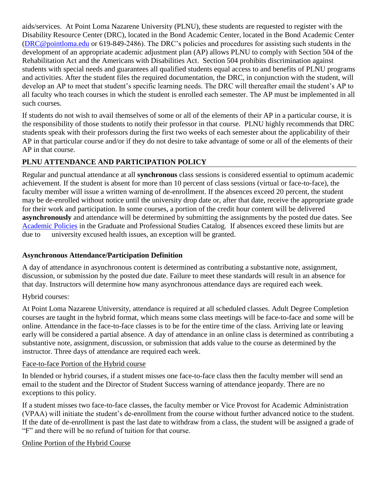aids/services. At Point Loma Nazarene University (PLNU), these students are requested to register with the Disability Resource Center (DRC), located in the Bond Academic Center, located in the Bond Academic Center [\(DRC@pointloma.edu](mailto:DRC@pointloma.edu) or 619-849-2486). The DRC's policies and procedures for assisting such students in the development of an appropriate academic adjustment plan (AP) allows PLNU to comply with Section 504 of the Rehabilitation Act and the Americans with Disabilities Act. Section 504 prohibits discrimination against students with special needs and guarantees all qualified students equal access to and benefits of PLNU programs and activities. After the student files the required documentation, the DRC, in conjunction with the student, will develop an AP to meet that student's specific learning needs. The DRC will thereafter email the student's AP to all faculty who teach courses in which the student is enrolled each semester. The AP must be implemented in all such courses.

If students do not wish to avail themselves of some or all of the elements of their AP in a particular course, it is the responsibility of those students to notify their professor in that course. PLNU highly recommends that DRC students speak with their professors during the first two weeks of each semester about the applicability of their AP in that particular course and/or if they do not desire to take advantage of some or all of the elements of their AP in that course.

## **PLNU ATTENDANCE AND PARTICIPATION POLICY**

Regular and punctual attendance at all **synchronous** class sessions is considered essential to optimum academic achievement. If the student is absent for more than 10 percent of class sessions (virtual or face-to-face), the faculty member will issue a written warning of de-enrollment. If the absences exceed 20 percent, the student may be de-enrolled without notice until the university drop date or, after that date, receive the appropriate grade for their work and participation. In some courses, a portion of the credit hour content will be delivered **asynchronously** and attendance will be determined by submitting the assignments by the posted due dates. See [Academic Policies](https://catalog.pointloma.edu/content.php?catoid=48&navoid=2757#Class_Attendance) in the Graduate and Professional Studies Catalog. If absences exceed these limits but are due to university excused health issues, an exception will be granted.

#### **Asynchronous Attendance/Participation Definition**

A day of attendance in asynchronous content is determined as contributing a substantive note, assignment, discussion, or submission by the posted due date. Failure to meet these standards will result in an absence for that day. Instructors will determine how many asynchronous attendance days are required each week.

#### Hybrid courses:

At Point Loma Nazarene University, attendance is required at all scheduled classes. Adult Degree Completion courses are taught in the hybrid format, which means some class meetings will be face-to-face and some will be online. Attendance in the face-to-face classes is to be for the entire time of the class. Arriving late or leaving early will be considered a partial absence. A day of attendance in an online class is determined as contributing a substantive note, assignment, discussion, or submission that adds value to the course as determined by the instructor. Three days of attendance are required each week.

#### Face-to-face Portion of the Hybrid course

In blended or hybrid courses, if a student misses one face-to-face class then the faculty member will send an email to the student and the Director of Student Success warning of attendance jeopardy. There are no exceptions to this policy.

If a student misses two face-to-face classes, the faculty member or Vice Provost for Academic Administration (VPAA) will initiate the student's de-enrollment from the course without further advanced notice to the student. If the date of de-enrollment is past the last date to withdraw from a class, the student will be assigned a grade of "F" and there will be no refund of tuition for that course.

#### Online Portion of the Hybrid Course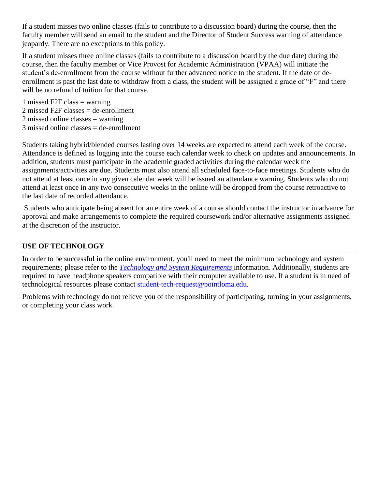If a student misses two online classes (fails to contribute to a discussion board) during the course, then the faculty member will send an email to the student and the Director of Student Success warning of attendance jeopardy. There are no exceptions to this policy.

If a student misses three online classes (fails to contribute to a discussion board by the due date) during the course, then the faculty member or Vice Provost for Academic Administration (VPAA) will initiate the student's de-enrollment from the course without further advanced notice to the student. If the date of deenrollment is past the last date to withdraw from a class, the student will be assigned a grade of "F" and there will be no refund of tuition for that course.

1 missed F2F class  $=$  warning 2 missed F2F classes = de-enrollment 2 missed online classes = warning  $3$  missed online classes  $=$  de-enrollment

Students taking hybrid/blended courses lasting over 14 weeks are expected to attend each week of the course. Attendance is defined as logging into the course each calendar week to check on updates and announcements. In addition, students must participate in the academic graded activities during the calendar week the assignments/activities are due. Students must also attend all scheduled face-to-face meetings. Students who do not attend at least once in any given calendar week will be issued an attendance warning. Students who do not attend at least once in any two consecutive weeks in the online will be dropped from the course retroactive to the last date of recorded attendance.

Students who anticipate being absent for an entire week of a course should contact the instructor in advance for approval and make arrangements to complete the required coursework and/or alternative assignments assigned at the discretion of the instructor.

## **USE OF TECHNOLOGY**

In order to be successful in the online environment, you'll need to meet the minimum technology and system requirements; please refer to the *[Technology and System Requirements](https://help.pointloma.edu/TDClient/1808/Portal/KB/ArticleDet?ID=108349)* information. Additionally, students are required to have headphone speakers compatible with their computer available to use. If a student is in need of technological resources please contact [student-tech-request@pointloma.edu.](mailto:student-tech-request@pointloma.edu)

Problems with technology do not relieve you of the responsibility of participating, turning in your assignments, or completing your class work.